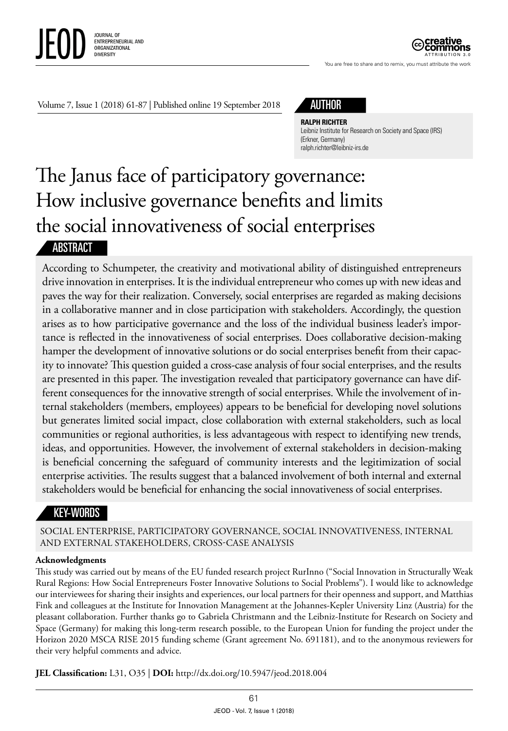

ATTRIBUTION 3.0

You are free to share and to remix, you must attribute the work

Volume 7, Issue 1 (2018) 61-87 | Published online 19 September 2018



**RALPH RICHTER**

Leibniz Institute for Research on Society and Space (IRS) (Erkner, Germany) ralph.richter@leibniz-irs.de

# The Janus face of participatory governance: How inclusive governance benefits and limits the social innovativeness of social enterprises **ABSTRACT**

According to Schumpeter, the creativity and motivational ability of distinguished entrepreneurs drive innovation in enterprises. It is the individual entrepreneur who comes up with new ideas and paves the way for their realization. Conversely, social enterprises are regarded as making decisions in a collaborative manner and in close participation with stakeholders. Accordingly, the question arises as to how participative governance and the loss of the individual business leader's importance is reflected in the innovativeness of social enterprises. Does collaborative decision-making hamper the development of innovative solutions or do social enterprises benefit from their capacity to innovate? This question guided a cross-case analysis of four social enterprises, and the results are presented in this paper. The investigation revealed that participatory governance can have different consequences for the innovative strength of social enterprises. While the involvement of internal stakeholders (members, employees) appears to be beneficial for developing novel solutions but generates limited social impact, close collaboration with external stakeholders, such as local communities or regional authorities, is less advantageous with respect to identifying new trends, ideas, and opportunities. However, the involvement of external stakeholders in decision-making is beneficial concerning the safeguard of community interests and the legitimization of social enterprise activities. The results suggest that a balanced involvement of both internal and external stakeholders would be beneficial for enhancing the social innovativeness of social enterprises.

# KEY-WORDS

SOCIAL ENTERPRISE, PARTICIPATORY GOVERNANCE, SOCIAL INNOVATIVENESS, INTERNAL AND EXTERNAL STAKEHOLDERS, CROSS-CASE ANALYSIS

#### **Acknowledgments**

This study was carried out by means of the EU funded research project RurInno ("Social Innovation in Structurally Weak Rural Regions: How Social Entrepreneurs Foster Innovative Solutions to Social Problems"). I would like to acknowledge our interviewees for sharing their insights and experiences, our local partners for their openness and support, and Matthias Fink and colleagues at the Institute for Innovation Management at the Johannes-Kepler University Linz (Austria) for the pleasant collaboration. Further thanks go to Gabriela Christmann and the Leibniz-Institute for Research on Society and Space (Germany) for making this long-term research possible, to the European Union for funding the project under the Horizon 2020 MSCA RISE 2015 funding scheme (Grant agreement No. 691181), and to the anonymous reviewers for their very helpful comments and advice.

**JEL Classification:** L31, O35 | **DOI:** http://dx.doi.org/10.5947/jeod.2018.004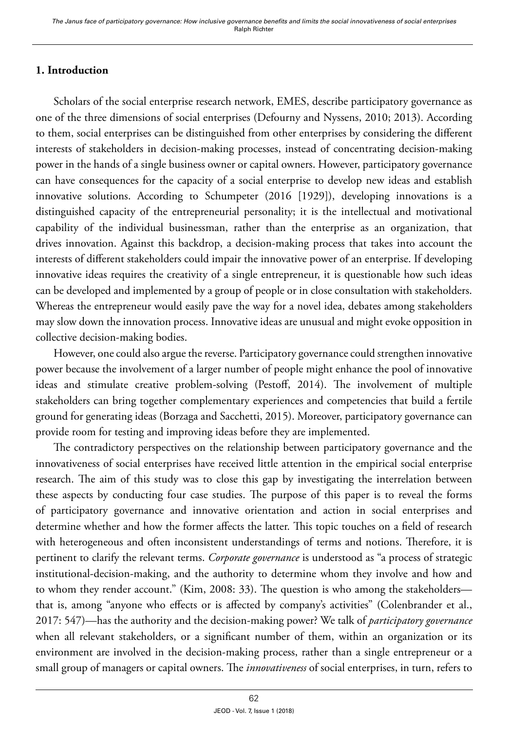# **1. Introduction**

Scholars of the social enterprise research network, EMES, describe participatory governance as one of the three dimensions of social enterprises (Defourny and Nyssens, 2010; 2013). According to them, social enterprises can be distinguished from other enterprises by considering the different interests of stakeholders in decision-making processes, instead of concentrating decision-making power in the hands of a single business owner or capital owners. However, participatory governance can have consequences for the capacity of a social enterprise to develop new ideas and establish innovative solutions. According to Schumpeter (2016 [1929]), developing innovations is a distinguished capacity of the entrepreneurial personality; it is the intellectual and motivational capability of the individual businessman, rather than the enterprise as an organization, that drives innovation. Against this backdrop, a decision-making process that takes into account the interests of different stakeholders could impair the innovative power of an enterprise. If developing innovative ideas requires the creativity of a single entrepreneur, it is questionable how such ideas can be developed and implemented by a group of people or in close consultation with stakeholders. Whereas the entrepreneur would easily pave the way for a novel idea, debates among stakeholders may slow down the innovation process. Innovative ideas are unusual and might evoke opposition in collective decision-making bodies.

However, one could also argue the reverse. Participatory governance could strengthen innovative power because the involvement of a larger number of people might enhance the pool of innovative ideas and stimulate creative problem-solving (Pestoff, 2014). The involvement of multiple stakeholders can bring together complementary experiences and competencies that build a fertile ground for generating ideas (Borzaga and Sacchetti, 2015). Moreover, participatory governance can provide room for testing and improving ideas before they are implemented.

The contradictory perspectives on the relationship between participatory governance and the innovativeness of social enterprises have received little attention in the empirical social enterprise research. The aim of this study was to close this gap by investigating the interrelation between these aspects by conducting four case studies. The purpose of this paper is to reveal the forms of participatory governance and innovative orientation and action in social enterprises and determine whether and how the former affects the latter. This topic touches on a field of research with heterogeneous and often inconsistent understandings of terms and notions. Therefore, it is pertinent to clarify the relevant terms. *Corporate governance* is understood as "a process of strategic institutional-decision-making, and the authority to determine whom they involve and how and to whom they render account." (Kim, 2008: 33). The question is who among the stakeholders that is, among "anyone who effects or is affected by company's activities" (Colenbrander et al., 2017: 547)—has the authority and the decision-making power? We talk of *participatory governance* when all relevant stakeholders, or a significant number of them, within an organization or its environment are involved in the decision-making process, rather than a single entrepreneur or a small group of managers or capital owners. The *innovativeness* of social enterprises, in turn, refers to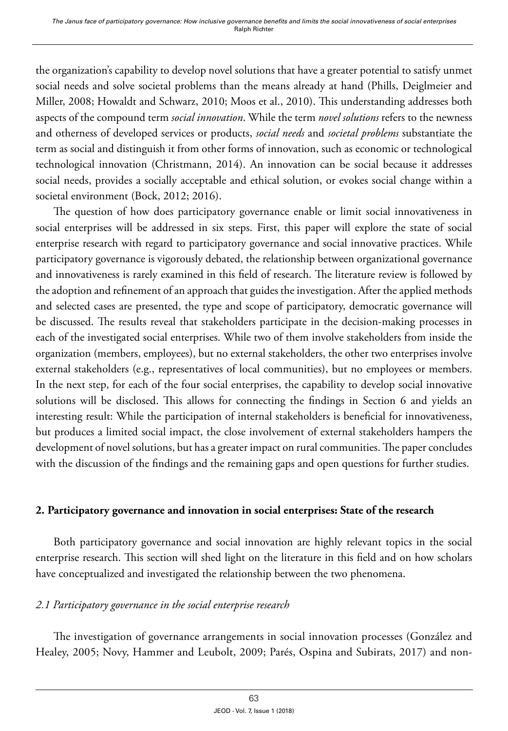the organization's capability to develop novel solutions that have a greater potential to satisfy unmet social needs and solve societal problems than the means already at hand (Phills, Deiglmeier and Miller, 2008; Howaldt and Schwarz, 2010; Moos et al., 2010). This understanding addresses both aspects of the compound term *social innovation*. While the term *novel solutions* refers to the newness and otherness of developed services or products, *social needs* and *societal problems* substantiate the term as social and distinguish it from other forms of innovation, such as economic or technological technological innovation (Christmann, 2014). An innovation can be social because it addresses social needs, provides a socially acceptable and ethical solution, or evokes social change within a societal environment (Bock, 2012; 2016).

The question of how does participatory governance enable or limit social innovativeness in social enterprises will be addressed in six steps. First, this paper will explore the state of social enterprise research with regard to participatory governance and social innovative practices. While participatory governance is vigorously debated, the relationship between organizational governance and innovativeness is rarely examined in this field of research. The literature review is followed by the adoption and refinement of an approach that guides the investigation. After the applied methods and selected cases are presented, the type and scope of participatory, democratic governance will be discussed. The results reveal that stakeholders participate in the decision-making processes in each of the investigated social enterprises. While two of them involve stakeholders from inside the organization (members, employees), but no external stakeholders, the other two enterprises involve external stakeholders (e.g., representatives of local communities), but no employees or members. In the next step, for each of the four social enterprises, the capability to develop social innovative solutions will be disclosed. This allows for connecting the findings in Section 6 and yields an interesting result: While the participation of internal stakeholders is beneficial for innovativeness, but produces a limited social impact, the close involvement of external stakeholders hampers the development of novel solutions, but has a greater impact on rural communities. The paper concludes with the discussion of the findings and the remaining gaps and open questions for further studies.

## **2. Participatory governance and innovation in social enterprises: State of the research**

Both participatory governance and social innovation are highly relevant topics in the social enterprise research. This section will shed light on the literature in this field and on how scholars have conceptualized and investigated the relationship between the two phenomena.

## *2.1 Participatory governance in the social enterprise research*

The investigation of governance arrangements in social innovation processes (González and Healey, 2005; Novy, Hammer and Leubolt, 2009; Parés, Ospina and Subirats, 2017) and non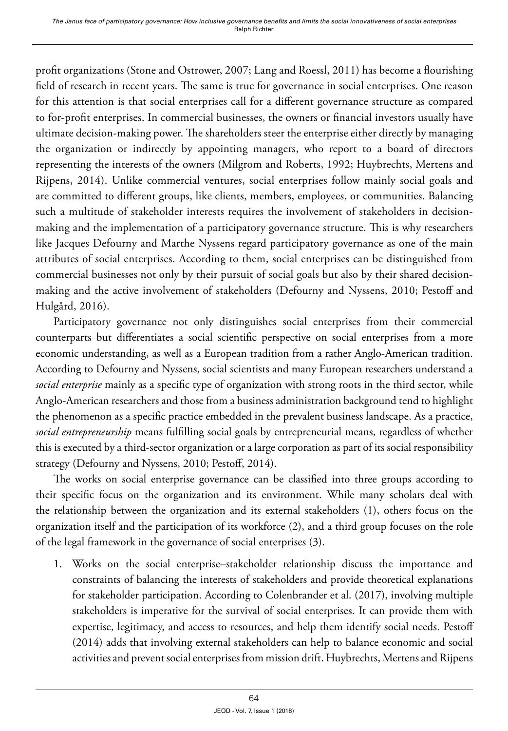profit organizations (Stone and Ostrower, 2007; Lang and Roessl, 2011) has become a flourishing field of research in recent years. The same is true for governance in social enterprises. One reason for this attention is that social enterprises call for a different governance structure as compared to for-profit enterprises. In commercial businesses, the owners or financial investors usually have ultimate decision-making power. The shareholders steer the enterprise either directly by managing the organization or indirectly by appointing managers, who report to a board of directors representing the interests of the owners (Milgrom and Roberts, 1992; Huybrechts, Mertens and Rijpens, 2014). Unlike commercial ventures, social enterprises follow mainly social goals and are committed to different groups, like clients, members, employees, or communities. Balancing such a multitude of stakeholder interests requires the involvement of stakeholders in decisionmaking and the implementation of a participatory governance structure. This is why researchers like Jacques Defourny and Marthe Nyssens regard participatory governance as one of the main attributes of social enterprises. According to them, social enterprises can be distinguished from commercial businesses not only by their pursuit of social goals but also by their shared decisionmaking and the active involvement of stakeholders (Defourny and Nyssens, 2010; Pestoff and Hulgård, 2016).

Participatory governance not only distinguishes social enterprises from their commercial counterparts but differentiates a social scientific perspective on social enterprises from a more economic understanding, as well as a European tradition from a rather Anglo-American tradition. According to Defourny and Nyssens, social scientists and many European researchers understand a *social enterprise* mainly as a specific type of organization with strong roots in the third sector, while Anglo-American researchers and those from a business administration background tend to highlight the phenomenon as a specific practice embedded in the prevalent business landscape. As a practice, *social entrepreneurship* means fulfilling social goals by entrepreneurial means, regardless of whether this is executed by a third-sector organization or a large corporation as part of its social responsibility strategy (Defourny and Nyssens, 2010; Pestoff, 2014).

The works on social enterprise governance can be classified into three groups according to their specific focus on the organization and its environment. While many scholars deal with the relationship between the organization and its external stakeholders (1), others focus on the organization itself and the participation of its workforce (2), and a third group focuses on the role of the legal framework in the governance of social enterprises (3).

1. Works on the social enterprise–stakeholder relationship discuss the importance and constraints of balancing the interests of stakeholders and provide theoretical explanations for stakeholder participation. According to Colenbrander et al. (2017), involving multiple stakeholders is imperative for the survival of social enterprises. It can provide them with expertise, legitimacy, and access to resources, and help them identify social needs. Pestoff (2014) adds that involving external stakeholders can help to balance economic and social activities and prevent social enterprises from mission drift. Huybrechts, Mertens and Rijpens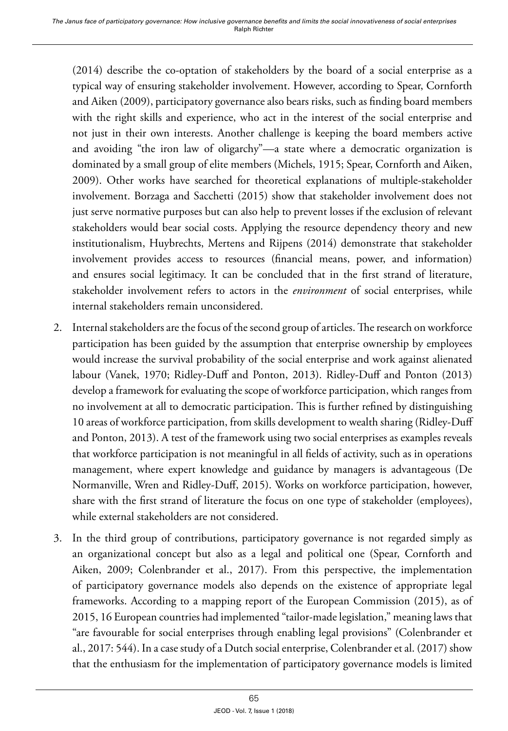(2014) describe the co-optation of stakeholders by the board of a social enterprise as a typical way of ensuring stakeholder involvement. However, according to Spear, Cornforth and Aiken (2009), participatory governance also bears risks, such as finding board members with the right skills and experience, who act in the interest of the social enterprise and not just in their own interests. Another challenge is keeping the board members active and avoiding "the iron law of oligarchy"—a state where a democratic organization is dominated by a small group of elite members (Michels, 1915; Spear, Cornforth and Aiken, 2009). Other works have searched for theoretical explanations of multiple-stakeholder involvement. Borzaga and Sacchetti (2015) show that stakeholder involvement does not just serve normative purposes but can also help to prevent losses if the exclusion of relevant stakeholders would bear social costs. Applying the resource dependency theory and new institutionalism, Huybrechts, Mertens and Rijpens (2014) demonstrate that stakeholder involvement provides access to resources (financial means, power, and information) and ensures social legitimacy. It can be concluded that in the first strand of literature, stakeholder involvement refers to actors in the *environment* of social enterprises, while internal stakeholders remain unconsidered.

- 2. Internal stakeholders are the focus of the second group of articles. The research on workforce participation has been guided by the assumption that enterprise ownership by employees would increase the survival probability of the social enterprise and work against alienated labour (Vanek, 1970; Ridley-Duff and Ponton, 2013). Ridley-Duff and Ponton (2013) develop a framework for evaluating the scope of workforce participation, which ranges from no involvement at all to democratic participation. This is further refined by distinguishing 10 areas of workforce participation, from skills development to wealth sharing (Ridley-Duff and Ponton, 2013). A test of the framework using two social enterprises as examples reveals that workforce participation is not meaningful in all fields of activity, such as in operations management, where expert knowledge and guidance by managers is advantageous (De Normanville, Wren and Ridley-Duff, 2015). Works on workforce participation, however, share with the first strand of literature the focus on one type of stakeholder (employees), while external stakeholders are not considered.
- 3. In the third group of contributions, participatory governance is not regarded simply as an organizational concept but also as a legal and political one (Spear, Cornforth and Aiken, 2009; Colenbrander et al., 2017). From this perspective, the implementation of participatory governance models also depends on the existence of appropriate legal frameworks. According to a mapping report of the European Commission (2015), as of 2015, 16 European countries had implemented "tailor-made legislation," meaning laws that "are favourable for social enterprises through enabling legal provisions" (Colenbrander et al., 2017: 544). In a case study of a Dutch social enterprise, Colenbrander et al. (2017) show that the enthusiasm for the implementation of participatory governance models is limited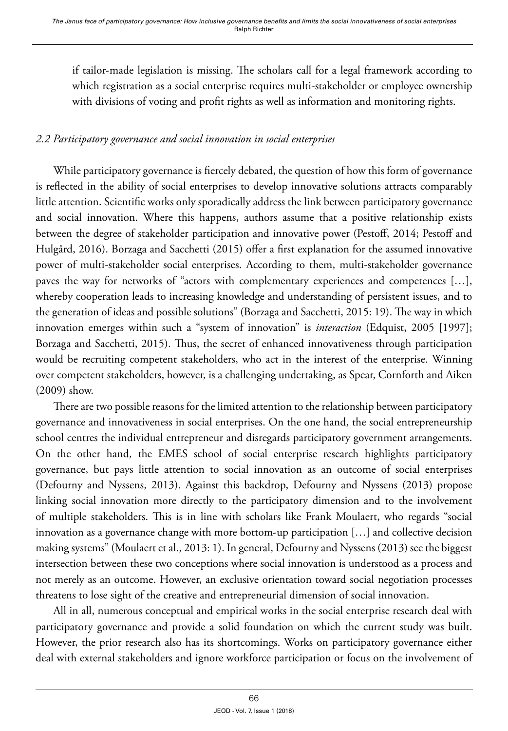if tailor-made legislation is missing. The scholars call for a legal framework according to which registration as a social enterprise requires multi-stakeholder or employee ownership with divisions of voting and profit rights as well as information and monitoring rights.

# *2.2 Participatory governance and social innovation in social enterprises*

While participatory governance is fiercely debated, the question of how this form of governance is reflected in the ability of social enterprises to develop innovative solutions attracts comparably little attention. Scientific works only sporadically address the link between participatory governance and social innovation. Where this happens, authors assume that a positive relationship exists between the degree of stakeholder participation and innovative power (Pestoff, 2014; Pestoff and Hulgård, 2016). Borzaga and Sacchetti (2015) offer a first explanation for the assumed innovative power of multi-stakeholder social enterprises. According to them, multi-stakeholder governance paves the way for networks of "actors with complementary experiences and competences […], whereby cooperation leads to increasing knowledge and understanding of persistent issues, and to the generation of ideas and possible solutions" (Borzaga and Sacchetti, 2015: 19). The way in which innovation emerges within such a "system of innovation" is *interaction* (Edquist, 2005 [1997]; Borzaga and Sacchetti, 2015). Thus, the secret of enhanced innovativeness through participation would be recruiting competent stakeholders, who act in the interest of the enterprise. Winning over competent stakeholders, however, is a challenging undertaking, as Spear, Cornforth and Aiken (2009) show.

There are two possible reasons for the limited attention to the relationship between participatory governance and innovativeness in social enterprises. On the one hand, the social entrepreneurship school centres the individual entrepreneur and disregards participatory government arrangements. On the other hand, the EMES school of social enterprise research highlights participatory governance, but pays little attention to social innovation as an outcome of social enterprises (Defourny and Nyssens, 2013). Against this backdrop, Defourny and Nyssens (2013) propose linking social innovation more directly to the participatory dimension and to the involvement of multiple stakeholders. This is in line with scholars like Frank Moulaert, who regards "social innovation as a governance change with more bottom-up participation […] and collective decision making systems" (Moulaert et al., 2013: 1). In general, Defourny and Nyssens (2013) see the biggest intersection between these two conceptions where social innovation is understood as a process and not merely as an outcome. However, an exclusive orientation toward social negotiation processes threatens to lose sight of the creative and entrepreneurial dimension of social innovation.

All in all, numerous conceptual and empirical works in the social enterprise research deal with participatory governance and provide a solid foundation on which the current study was built. However, the prior research also has its shortcomings. Works on participatory governance either deal with external stakeholders and ignore workforce participation or focus on the involvement of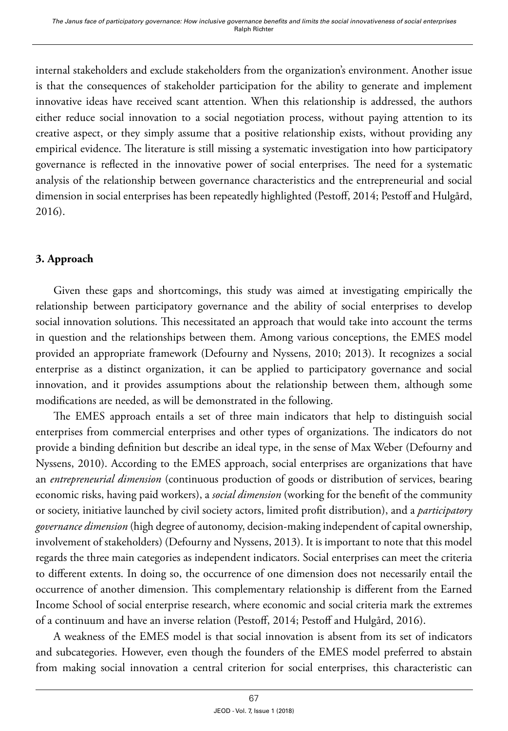internal stakeholders and exclude stakeholders from the organization's environment. Another issue is that the consequences of stakeholder participation for the ability to generate and implement innovative ideas have received scant attention. When this relationship is addressed, the authors either reduce social innovation to a social negotiation process, without paying attention to its creative aspect, or they simply assume that a positive relationship exists, without providing any empirical evidence. The literature is still missing a systematic investigation into how participatory governance is reflected in the innovative power of social enterprises. The need for a systematic analysis of the relationship between governance characteristics and the entrepreneurial and social dimension in social enterprises has been repeatedly highlighted (Pestoff, 2014; Pestoff and Hulgård, 2016).

# **3. Approach**

Given these gaps and shortcomings, this study was aimed at investigating empirically the relationship between participatory governance and the ability of social enterprises to develop social innovation solutions. This necessitated an approach that would take into account the terms in question and the relationships between them. Among various conceptions, the EMES model provided an appropriate framework (Defourny and Nyssens, 2010; 2013). It recognizes a social enterprise as a distinct organization, it can be applied to participatory governance and social innovation, and it provides assumptions about the relationship between them, although some modifications are needed, as will be demonstrated in the following.

The EMES approach entails a set of three main indicators that help to distinguish social enterprises from commercial enterprises and other types of organizations. The indicators do not provide a binding definition but describe an ideal type, in the sense of Max Weber (Defourny and Nyssens, 2010). According to the EMES approach, social enterprises are organizations that have an *entrepreneurial dimension* (continuous production of goods or distribution of services, bearing economic risks, having paid workers), a *social dimension* (working for the benefit of the community or society, initiative launched by civil society actors, limited profit distribution), and a *participatory governance dimension* (high degree of autonomy, decision-making independent of capital ownership, involvement of stakeholders) (Defourny and Nyssens, 2013). It is important to note that this model regards the three main categories as independent indicators. Social enterprises can meet the criteria to different extents. In doing so, the occurrence of one dimension does not necessarily entail the occurrence of another dimension. This complementary relationship is different from the Earned Income School of social enterprise research, where economic and social criteria mark the extremes of a continuum and have an inverse relation (Pestoff, 2014; Pestoff and Hulgård, 2016).

A weakness of the EMES model is that social innovation is absent from its set of indicators and subcategories. However, even though the founders of the EMES model preferred to abstain from making social innovation a central criterion for social enterprises, this characteristic can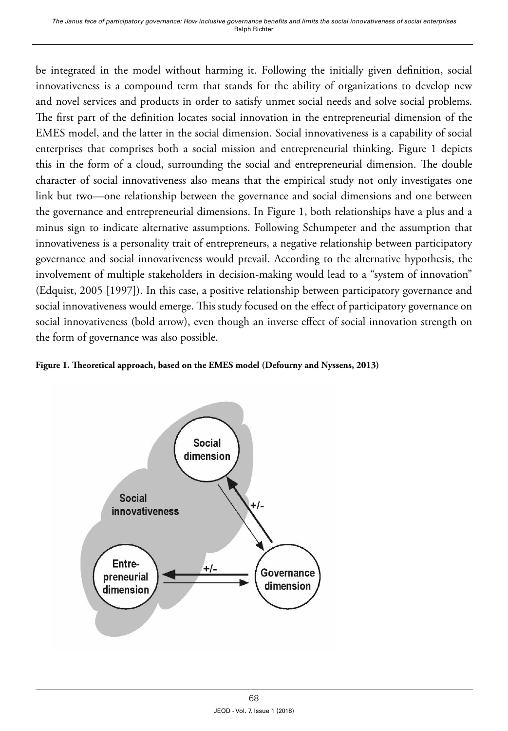be integrated in the model without harming it. Following the initially given definition, social innovativeness is a compound term that stands for the ability of organizations to develop new and novel services and products in order to satisfy unmet social needs and solve social problems. The first part of the definition locates social innovation in the entrepreneurial dimension of the EMES model, and the latter in the social dimension. Social innovativeness is a capability of social enterprises that comprises both a social mission and entrepreneurial thinking. Figure 1 depicts this in the form of a cloud, surrounding the social and entrepreneurial dimension. The double character of social innovativeness also means that the empirical study not only investigates one link but two—one relationship between the governance and social dimensions and one between the governance and entrepreneurial dimensions. In Figure 1, both relationships have a plus and a minus sign to indicate alternative assumptions. Following Schumpeter and the assumption that innovativeness is a personality trait of entrepreneurs, a negative relationship between participatory governance and social innovativeness would prevail. According to the alternative hypothesis, the involvement of multiple stakeholders in decision-making would lead to a "system of innovation" (Edquist, 2005 [1997]). In this case, a positive relationship between participatory governance and social innovativeness would emerge. This study focused on the effect of participatory governance on social innovativeness (bold arrow), even though an inverse effect of social innovation strength on the form of governance was also possible.



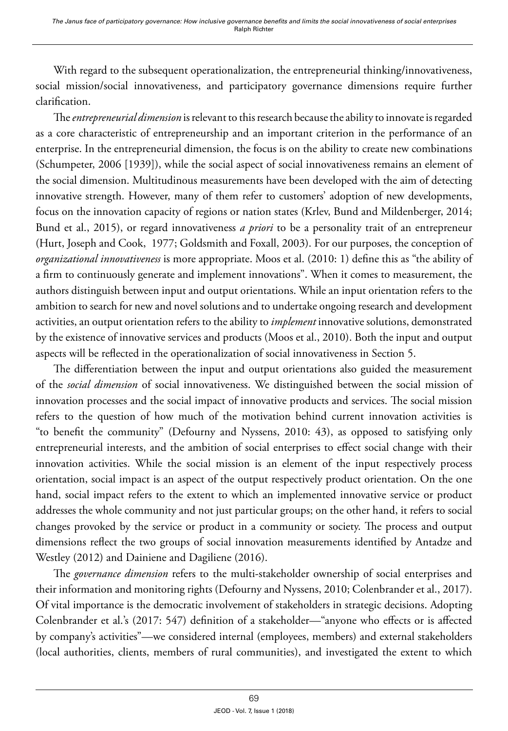With regard to the subsequent operationalization, the entrepreneurial thinking/innovativeness, social mission/social innovativeness, and participatory governance dimensions require further clarification.

The *entrepreneurial dimension* is relevant to this research because the ability to innovate is regarded as a core characteristic of entrepreneurship and an important criterion in the performance of an enterprise. In the entrepreneurial dimension, the focus is on the ability to create new combinations (Schumpeter, 2006 [1939]), while the social aspect of social innovativeness remains an element of the social dimension. Multitudinous measurements have been developed with the aim of detecting innovative strength. However, many of them refer to customers' adoption of new developments, focus on the innovation capacity of regions or nation states (Krlev, Bund and Mildenberger, 2014; Bund et al., 2015), or regard innovativeness *a priori* to be a personality trait of an entrepreneur (Hurt, Joseph and Cook, 1977; Goldsmith and Foxall, 2003). For our purposes, the conception of *organizational innovativeness* is more appropriate. Moos et al. (2010: 1) define this as "the ability of a firm to continuously generate and implement innovations". When it comes to measurement, the authors distinguish between input and output orientations. While an input orientation refers to the ambition to search for new and novel solutions and to undertake ongoing research and development activities, an output orientation refers to the ability to *implement* innovative solutions, demonstrated by the existence of innovative services and products (Moos et al., 2010). Both the input and output aspects will be reflected in the operationalization of social innovativeness in Section 5.

The differentiation between the input and output orientations also guided the measurement of the *social dimension* of social innovativeness. We distinguished between the social mission of innovation processes and the social impact of innovative products and services. The social mission refers to the question of how much of the motivation behind current innovation activities is "to benefit the community" (Defourny and Nyssens, 2010: 43), as opposed to satisfying only entrepreneurial interests, and the ambition of social enterprises to effect social change with their innovation activities. While the social mission is an element of the input respectively process orientation, social impact is an aspect of the output respectively product orientation. On the one hand, social impact refers to the extent to which an implemented innovative service or product addresses the whole community and not just particular groups; on the other hand, it refers to social changes provoked by the service or product in a community or society. The process and output dimensions reflect the two groups of social innovation measurements identified by Antadze and Westley (2012) and Dainiene and Dagiliene (2016).

The *governance dimension* refers to the multi-stakeholder ownership of social enterprises and their information and monitoring rights (Defourny and Nyssens, 2010; Colenbrander et al., 2017). Of vital importance is the democratic involvement of stakeholders in strategic decisions. Adopting Colenbrander et al.'s (2017: 547) definition of a stakeholder—"anyone who effects or is affected by company's activities"—we considered internal (employees, members) and external stakeholders (local authorities, clients, members of rural communities), and investigated the extent to which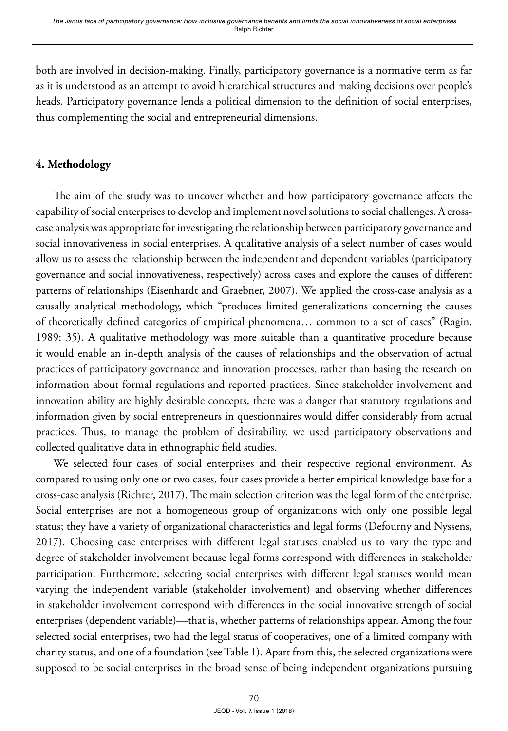both are involved in decision-making. Finally, participatory governance is a normative term as far as it is understood as an attempt to avoid hierarchical structures and making decisions over people's heads. Participatory governance lends a political dimension to the definition of social enterprises, thus complementing the social and entrepreneurial dimensions.

# **4. Methodology**

The aim of the study was to uncover whether and how participatory governance affects the capability of social enterprises to develop and implement novel solutions to social challenges. A crosscase analysis was appropriate for investigating the relationship between participatory governance and social innovativeness in social enterprises. A qualitative analysis of a select number of cases would allow us to assess the relationship between the independent and dependent variables (participatory governance and social innovativeness, respectively) across cases and explore the causes of different patterns of relationships (Eisenhardt and Graebner, 2007). We applied the cross-case analysis as a causally analytical methodology, which "produces limited generalizations concerning the causes of theoretically defined categories of empirical phenomena… common to a set of cases" (Ragin, 1989: 35). A qualitative methodology was more suitable than a quantitative procedure because it would enable an in-depth analysis of the causes of relationships and the observation of actual practices of participatory governance and innovation processes, rather than basing the research on information about formal regulations and reported practices. Since stakeholder involvement and innovation ability are highly desirable concepts, there was a danger that statutory regulations and information given by social entrepreneurs in questionnaires would differ considerably from actual practices. Thus, to manage the problem of desirability, we used participatory observations and collected qualitative data in ethnographic field studies.

We selected four cases of social enterprises and their respective regional environment. As compared to using only one or two cases, four cases provide a better empirical knowledge base for a cross-case analysis (Richter, 2017). The main selection criterion was the legal form of the enterprise. Social enterprises are not a homogeneous group of organizations with only one possible legal status; they have a variety of organizational characteristics and legal forms (Defourny and Nyssens, 2017). Choosing case enterprises with different legal statuses enabled us to vary the type and degree of stakeholder involvement because legal forms correspond with differences in stakeholder participation. Furthermore, selecting social enterprises with different legal statuses would mean varying the independent variable (stakeholder involvement) and observing whether differences in stakeholder involvement correspond with differences in the social innovative strength of social enterprises (dependent variable)—that is, whether patterns of relationships appear. Among the four selected social enterprises, two had the legal status of cooperatives, one of a limited company with charity status, and one of a foundation (see Table 1). Apart from this, the selected organizations were supposed to be social enterprises in the broad sense of being independent organizations pursuing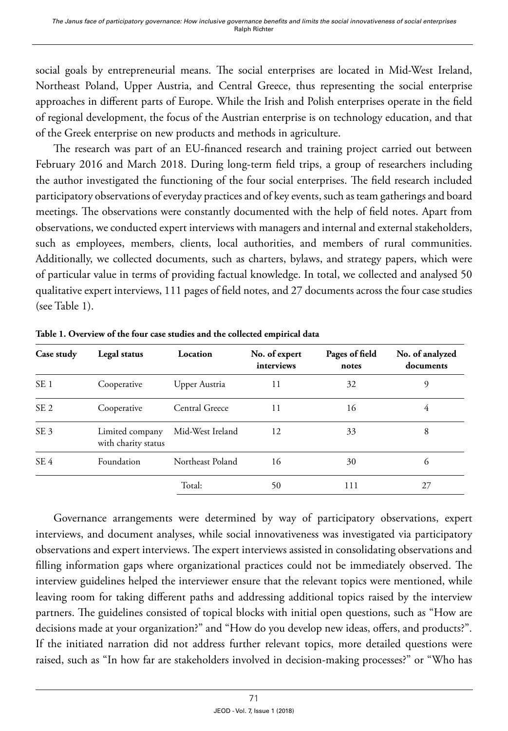social goals by entrepreneurial means. The social enterprises are located in Mid-West Ireland, Northeast Poland, Upper Austria, and Central Greece, thus representing the social enterprise approaches in different parts of Europe. While the Irish and Polish enterprises operate in the field of regional development, the focus of the Austrian enterprise is on technology education, and that of the Greek enterprise on new products and methods in agriculture.

The research was part of an EU-financed research and training project carried out between February 2016 and March 2018. During long-term field trips, a group of researchers including the author investigated the functioning of the four social enterprises. The field research included participatory observations of everyday practices and of key events, such as team gatherings and board meetings. The observations were constantly documented with the help of field notes. Apart from observations, we conducted expert interviews with managers and internal and external stakeholders, such as employees, members, clients, local authorities, and members of rural communities. Additionally, we collected documents, such as charters, bylaws, and strategy papers, which were of particular value in terms of providing factual knowledge. In total, we collected and analysed 50 qualitative expert interviews, 111 pages of field notes, and 27 documents across the four case studies (see Table 1).

| Case study      | Legal status                           | Location         | No. of expert<br>interviews | Pages of field<br>notes | No. of analyzed<br>documents |
|-----------------|----------------------------------------|------------------|-----------------------------|-------------------------|------------------------------|
| SE <sub>1</sub> | Cooperative                            | Upper Austria    | 11                          | 32                      | 9                            |
| SE <sub>2</sub> | Cooperative                            | Central Greece   | 11                          | 16                      | 4                            |
| SE <sub>3</sub> | Limited company<br>with charity status | Mid-West Ireland | 12                          | 33                      | 8                            |
| SE <sub>4</sub> | Foundation                             | Northeast Poland | 16                          | 30                      | 6                            |
|                 |                                        | Total:           | 50                          | 111                     | 27                           |

**Table 1. Overview of the four case studies and the collected empirical data**

Governance arrangements were determined by way of participatory observations, expert interviews, and document analyses, while social innovativeness was investigated via participatory observations and expert interviews. The expert interviews assisted in consolidating observations and filling information gaps where organizational practices could not be immediately observed. The interview guidelines helped the interviewer ensure that the relevant topics were mentioned, while leaving room for taking different paths and addressing additional topics raised by the interview partners. The guidelines consisted of topical blocks with initial open questions, such as "How are decisions made at your organization?" and "How do you develop new ideas, offers, and products?". If the initiated narration did not address further relevant topics, more detailed questions were raised, such as "In how far are stakeholders involved in decision-making processes?" or "Who has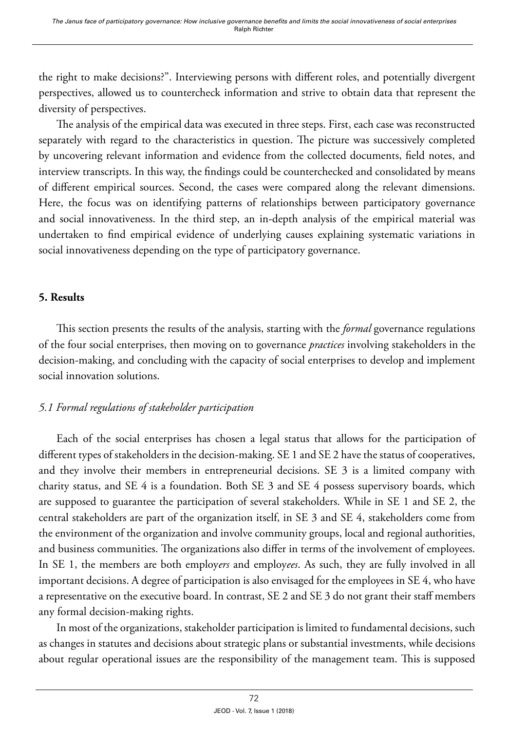the right to make decisions?". Interviewing persons with different roles, and potentially divergent perspectives, allowed us to countercheck information and strive to obtain data that represent the diversity of perspectives.

The analysis of the empirical data was executed in three steps. First, each case was reconstructed separately with regard to the characteristics in question. The picture was successively completed by uncovering relevant information and evidence from the collected documents, field notes, and interview transcripts. In this way, the findings could be counterchecked and consolidated by means of different empirical sources. Second, the cases were compared along the relevant dimensions. Here, the focus was on identifying patterns of relationships between participatory governance and social innovativeness. In the third step, an in-depth analysis of the empirical material was undertaken to find empirical evidence of underlying causes explaining systematic variations in social innovativeness depending on the type of participatory governance.

#### **5. Results**

This section presents the results of the analysis, starting with the *formal* governance regulations of the four social enterprises, then moving on to governance *practices* involving stakeholders in the decision-making, and concluding with the capacity of social enterprises to develop and implement social innovation solutions.

## *5.1 Formal regulations of stakeholder participation*

Each of the social enterprises has chosen a legal status that allows for the participation of different types of stakeholders in the decision-making. SE 1 and SE 2 have the status of cooperatives, and they involve their members in entrepreneurial decisions. SE 3 is a limited company with charity status, and SE 4 is a foundation. Both SE 3 and SE 4 possess supervisory boards, which are supposed to guarantee the participation of several stakeholders. While in SE 1 and SE 2, the central stakeholders are part of the organization itself, in SE 3 and SE 4, stakeholders come from the environment of the organization and involve community groups, local and regional authorities, and business communities. The organizations also differ in terms of the involvement of employees. In SE 1, the members are both employ*ers* and employ*ees*. As such, they are fully involved in all important decisions. A degree of participation is also envisaged for the employees in SE 4, who have a representative on the executive board. In contrast, SE 2 and SE 3 do not grant their staff members any formal decision-making rights.

In most of the organizations, stakeholder participation is limited to fundamental decisions, such as changes in statutes and decisions about strategic plans or substantial investments, while decisions about regular operational issues are the responsibility of the management team. This is supposed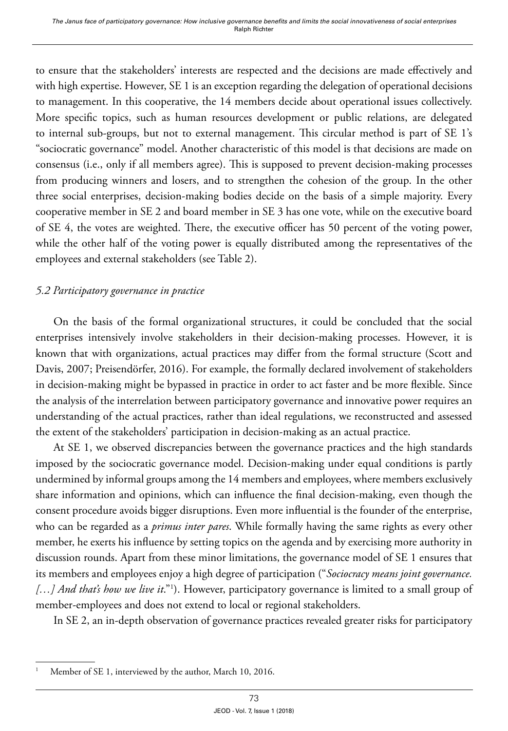to ensure that the stakeholders' interests are respected and the decisions are made effectively and with high expertise. However, SE 1 is an exception regarding the delegation of operational decisions to management. In this cooperative, the 14 members decide about operational issues collectively. More specific topics, such as human resources development or public relations, are delegated to internal sub-groups, but not to external management. This circular method is part of SE 1's "sociocratic governance" model. Another characteristic of this model is that decisions are made on consensus (i.e., only if all members agree). This is supposed to prevent decision-making processes from producing winners and losers, and to strengthen the cohesion of the group. In the other three social enterprises, decision-making bodies decide on the basis of a simple majority. Every cooperative member in SE 2 and board member in SE 3 has one vote, while on the executive board of SE 4, the votes are weighted. There, the executive officer has 50 percent of the voting power, while the other half of the voting power is equally distributed among the representatives of the employees and external stakeholders (see Table 2).

## *5.2 Participatory governance in practice*

On the basis of the formal organizational structures, it could be concluded that the social enterprises intensively involve stakeholders in their decision-making processes. However, it is known that with organizations, actual practices may differ from the formal structure (Scott and Davis, 2007; Preisendörfer, 2016). For example, the formally declared involvement of stakeholders in decision-making might be bypassed in practice in order to act faster and be more flexible. Since the analysis of the interrelation between participatory governance and innovative power requires an understanding of the actual practices, rather than ideal regulations, we reconstructed and assessed the extent of the stakeholders' participation in decision-making as an actual practice.

At SE 1, we observed discrepancies between the governance practices and the high standards imposed by the sociocratic governance model. Decision-making under equal conditions is partly undermined by informal groups among the 14 members and employees, where members exclusively share information and opinions, which can influence the final decision-making, even though the consent procedure avoids bigger disruptions. Even more influential is the founder of the enterprise, who can be regarded as a *primus inter pares*. While formally having the same rights as every other member, he exerts his influence by setting topics on the agenda and by exercising more authority in discussion rounds. Apart from these minor limitations, the governance model of SE 1 ensures that its members and employees enjoy a high degree of participation ("*Sociocracy means joint governance.*  [...] And that's how we live it."<sup>1</sup>). However, participatory governance is limited to a small group of member-employees and does not extend to local or regional stakeholders.

In SE 2, an in-depth observation of governance practices revealed greater risks for participatory

Member of SE 1, interviewed by the author, March 10, 2016.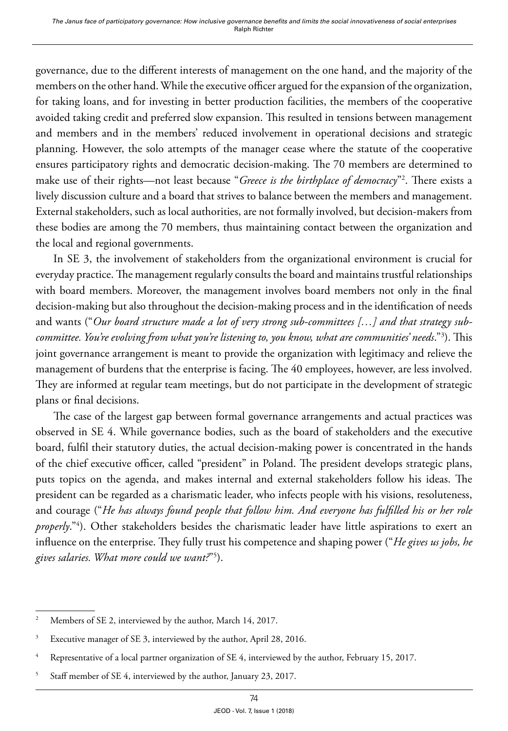governance, due to the different interests of management on the one hand, and the majority of the members on the other hand. While the executive officer argued for the expansion of the organization, for taking loans, and for investing in better production facilities, the members of the cooperative avoided taking credit and preferred slow expansion. This resulted in tensions between management and members and in the members' reduced involvement in operational decisions and strategic planning. However, the solo attempts of the manager cease where the statute of the cooperative ensures participatory rights and democratic decision-making. The 70 members are determined to make use of their rights—not least because "*Greece is the birthplace of democracy*"2 . There exists a lively discussion culture and a board that strives to balance between the members and management. External stakeholders, such as local authorities, are not formally involved, but decision-makers from these bodies are among the 70 members, thus maintaining contact between the organization and the local and regional governments.

In SE 3, the involvement of stakeholders from the organizational environment is crucial for everyday practice. The management regularly consults the board and maintains trustful relationships with board members. Moreover, the management involves board members not only in the final decision-making but also throughout the decision-making process and in the identification of needs and wants ("*Our board structure made a lot of very strong sub-committees […] and that strategy subcommittee. You're evolving from what you're listening to, you know, what are communities' needs*."3 ). This joint governance arrangement is meant to provide the organization with legitimacy and relieve the management of burdens that the enterprise is facing. The 40 employees, however, are less involved. They are informed at regular team meetings, but do not participate in the development of strategic plans or final decisions.

The case of the largest gap between formal governance arrangements and actual practices was observed in SE 4. While governance bodies, such as the board of stakeholders and the executive board, fulfil their statutory duties, the actual decision-making power is concentrated in the hands of the chief executive officer, called "president" in Poland. The president develops strategic plans, puts topics on the agenda, and makes internal and external stakeholders follow his ideas. The president can be regarded as a charismatic leader, who infects people with his visions, resoluteness, and courage ("*He has always found people that follow him. And everyone has fulfilled his or her role properly*."4 ). Other stakeholders besides the charismatic leader have little aspirations to exert an influence on the enterprise. They fully trust his competence and shaping power ("*He gives us jobs, he gives salaries. What more could we want?*"5 ).

<sup>&</sup>lt;sup>2</sup> Members of SE 2, interviewed by the author, March 14, 2017.

<sup>&</sup>lt;sup>3</sup> Executive manager of SE 3, interviewed by the author, April 28, 2016.

<sup>4</sup> Representative of a local partner organization of SE 4, interviewed by the author, February 15, 2017.

<sup>5</sup> Staff member of SE 4, interviewed by the author, January 23, 2017.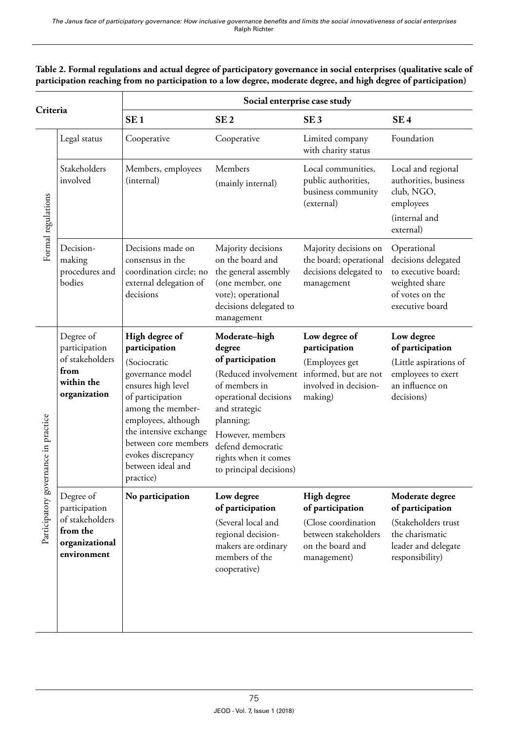#### **Table 2. Formal regulations and actual degree of participatory governance in social enterprises (qualitative scale of participation reaching from no participation to a low degree, moderate degree, and high degree of participation)**

| Criteria                             |                                                                                            | Social enterprise case study                                                                                                                                                                                                                                        |                                                                                                                                                                                                                                         |                                                                                                                    |                                                                                                                          |  |  |
|--------------------------------------|--------------------------------------------------------------------------------------------|---------------------------------------------------------------------------------------------------------------------------------------------------------------------------------------------------------------------------------------------------------------------|-----------------------------------------------------------------------------------------------------------------------------------------------------------------------------------------------------------------------------------------|--------------------------------------------------------------------------------------------------------------------|--------------------------------------------------------------------------------------------------------------------------|--|--|
|                                      |                                                                                            | SE <sub>1</sub>                                                                                                                                                                                                                                                     | SE <sub>2</sub>                                                                                                                                                                                                                         | SE <sub>3</sub>                                                                                                    | SE <sub>4</sub>                                                                                                          |  |  |
| Formal regulations                   | Legal status                                                                               | Cooperative                                                                                                                                                                                                                                                         | Cooperative                                                                                                                                                                                                                             | Limited company<br>with charity status                                                                             | Foundation                                                                                                               |  |  |
|                                      | Stakeholders<br>involved                                                                   | Members, employees<br>(internal)                                                                                                                                                                                                                                    | Members<br>(mainly internal)                                                                                                                                                                                                            | Local communities,<br>public authorities,<br>business community<br>(external)                                      | Local and regional<br>authorities, business<br>club, NGO,<br>employees<br>(internal and<br>external)                     |  |  |
|                                      | Decision-<br>making<br>procedures and<br>bodies                                            | Decisions made on<br>consensus in the<br>coordination circle; no<br>external delegation of<br>decisions                                                                                                                                                             | Majority decisions<br>on the board and<br>the general assembly<br>(one member, one<br>vote); operational<br>decisions delegated to<br>management                                                                                        | Majority decisions on<br>the board; operational<br>decisions delegated to<br>management                            | Operational<br>decisions delegated<br>to executive board;<br>weighted share<br>of votes on the<br>executive board        |  |  |
| Participatory governance in practice | Degree of<br>participation<br>of stakeholders<br>from<br>within the<br>organization        | High degree of<br>participation<br>(Sociocratic<br>governance model<br>ensures high level<br>of participation<br>among the member-<br>employees, although<br>the intensive exchange<br>between core members<br>evokes discrepancy<br>between ideal and<br>practice) | Moderate-high<br>degree<br>of participation<br>(Reduced involvement<br>of members in<br>operational decisions<br>and strategic<br>planning;<br>However, members<br>defend democratic<br>rights when it comes<br>to principal decisions) | Low degree of<br>participation<br>(Employees get<br>informed, but are not<br>involved in decision-<br>making)      | Low degree<br>of participation<br>(Little aspirations of<br>employees to exert<br>an influence on<br>decisions)          |  |  |
|                                      | Degree of<br>participation<br>of stakeholders<br>from the<br>organizational<br>environment | No participation                                                                                                                                                                                                                                                    | Low degree<br>of participation<br>(Several local and<br>regional decision-<br>makers are ordinary<br>members of the<br>cooperative)                                                                                                     | High degree<br>of participation<br>(Close coordination)<br>between stakeholders<br>on the board and<br>management) | Moderate degree<br>of participation<br>(Stakeholders trust)<br>the charismatic<br>leader and delegate<br>responsibility) |  |  |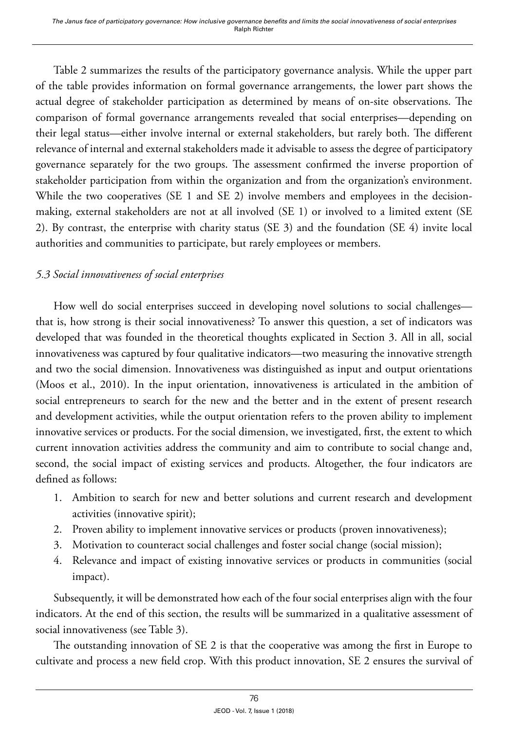Table 2 summarizes the results of the participatory governance analysis. While the upper part of the table provides information on formal governance arrangements, the lower part shows the actual degree of stakeholder participation as determined by means of on-site observations. The comparison of formal governance arrangements revealed that social enterprises—depending on their legal status—either involve internal or external stakeholders, but rarely both. The different relevance of internal and external stakeholders made it advisable to assess the degree of participatory governance separately for the two groups. The assessment confirmed the inverse proportion of stakeholder participation from within the organization and from the organization's environment. While the two cooperatives (SE 1 and SE 2) involve members and employees in the decisionmaking, external stakeholders are not at all involved (SE 1) or involved to a limited extent (SE 2). By contrast, the enterprise with charity status (SE 3) and the foundation (SE 4) invite local authorities and communities to participate, but rarely employees or members.

# *5.3 Social innovativeness of social enterprises*

How well do social enterprises succeed in developing novel solutions to social challenges that is, how strong is their social innovativeness? To answer this question, a set of indicators was developed that was founded in the theoretical thoughts explicated in Section 3. All in all, social innovativeness was captured by four qualitative indicators—two measuring the innovative strength and two the social dimension. Innovativeness was distinguished as input and output orientations (Moos et al., 2010). In the input orientation, innovativeness is articulated in the ambition of social entrepreneurs to search for the new and the better and in the extent of present research and development activities, while the output orientation refers to the proven ability to implement innovative services or products. For the social dimension, we investigated, first, the extent to which current innovation activities address the community and aim to contribute to social change and, second, the social impact of existing services and products. Altogether, the four indicators are defined as follows:

- 1. Ambition to search for new and better solutions and current research and development activities (innovative spirit);
- 2. Proven ability to implement innovative services or products (proven innovativeness);
- 3. Motivation to counteract social challenges and foster social change (social mission);
- 4. Relevance and impact of existing innovative services or products in communities (social impact).

Subsequently, it will be demonstrated how each of the four social enterprises align with the four indicators. At the end of this section, the results will be summarized in a qualitative assessment of social innovativeness (see Table 3).

The outstanding innovation of SE 2 is that the cooperative was among the first in Europe to cultivate and process a new field crop. With this product innovation, SE 2 ensures the survival of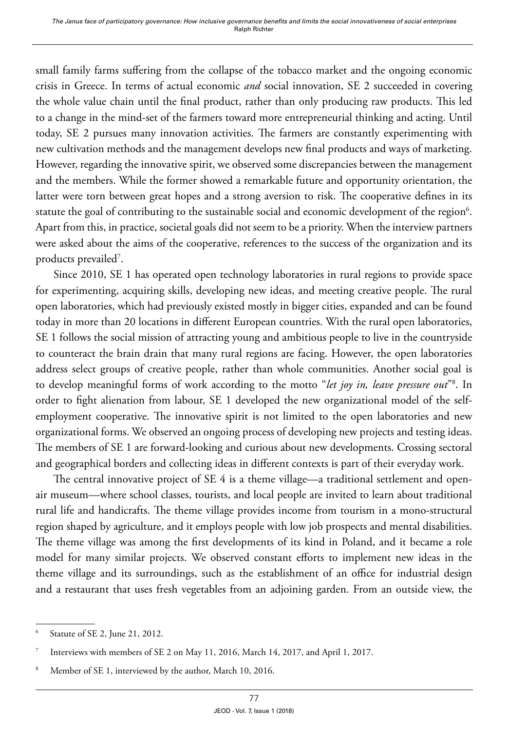small family farms suffering from the collapse of the tobacco market and the ongoing economic crisis in Greece. In terms of actual economic *and* social innovation, SE 2 succeeded in covering the whole value chain until the final product, rather than only producing raw products. This led to a change in the mind-set of the farmers toward more entrepreneurial thinking and acting. Until today, SE 2 pursues many innovation activities. The farmers are constantly experimenting with new cultivation methods and the management develops new final products and ways of marketing. However, regarding the innovative spirit, we observed some discrepancies between the management and the members. While the former showed a remarkable future and opportunity orientation, the latter were torn between great hopes and a strong aversion to risk. The cooperative defines in its statute the goal of contributing to the sustainable social and economic development of the region $^6$ . Apart from this, in practice, societal goals did not seem to be a priority. When the interview partners were asked about the aims of the cooperative, references to the success of the organization and its products prevailed7 .

Since 2010, SE 1 has operated open technology laboratories in rural regions to provide space for experimenting, acquiring skills, developing new ideas, and meeting creative people. The rural open laboratories, which had previously existed mostly in bigger cities, expanded and can be found today in more than 20 locations in different European countries. With the rural open laboratories, SE 1 follows the social mission of attracting young and ambitious people to live in the countryside to counteract the brain drain that many rural regions are facing. However, the open laboratories address select groups of creative people, rather than whole communities. Another social goal is to develop meaningful forms of work according to the motto "*let joy in, leave pressure out*"8 . In order to fight alienation from labour, SE 1 developed the new organizational model of the selfemployment cooperative. The innovative spirit is not limited to the open laboratories and new organizational forms. We observed an ongoing process of developing new projects and testing ideas. The members of SE 1 are forward-looking and curious about new developments. Crossing sectoral and geographical borders and collecting ideas in different contexts is part of their everyday work.

The central innovative project of SE 4 is a theme village—a traditional settlement and openair museum—where school classes, tourists, and local people are invited to learn about traditional rural life and handicrafts. The theme village provides income from tourism in a mono-structural region shaped by agriculture, and it employs people with low job prospects and mental disabilities. The theme village was among the first developments of its kind in Poland, and it became a role model for many similar projects. We observed constant efforts to implement new ideas in the theme village and its surroundings, such as the establishment of an office for industrial design and a restaurant that uses fresh vegetables from an adjoining garden. From an outside view, the

<sup>6</sup> Statute of SE 2, June 21, 2012.

<sup>7</sup> Interviews with members of SE 2 on May 11, 2016, March 14, 2017, and April 1, 2017.

Member of SE 1, interviewed by the author, March 10, 2016.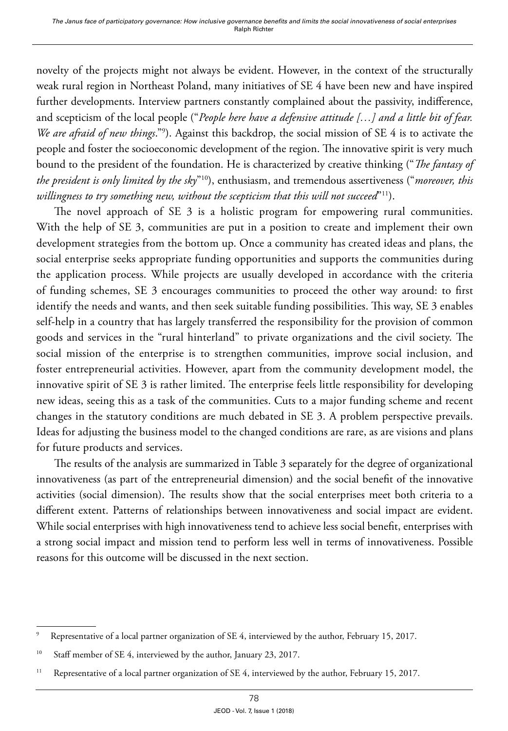novelty of the projects might not always be evident. However, in the context of the structurally weak rural region in Northeast Poland, many initiatives of SE 4 have been new and have inspired further developments. Interview partners constantly complained about the passivity, indifference, and scepticism of the local people ("*People here have a defensive attitude […] and a little bit of fear. We are afraid of new things*."9 ). Against this backdrop, the social mission of SE 4 is to activate the people and foster the socioeconomic development of the region. The innovative spirit is very much bound to the president of the foundation. He is characterized by creative thinking ("*The fantasy of the president is only limited by the sky*"10), enthusiasm, and tremendous assertiveness ("*moreover, this willingness to try something new, without the scepticism that this will not succeed*"11).

The novel approach of SE 3 is a holistic program for empowering rural communities. With the help of SE 3, communities are put in a position to create and implement their own development strategies from the bottom up. Once a community has created ideas and plans, the social enterprise seeks appropriate funding opportunities and supports the communities during the application process. While projects are usually developed in accordance with the criteria of funding schemes, SE 3 encourages communities to proceed the other way around: to first identify the needs and wants, and then seek suitable funding possibilities. This way, SE 3 enables self-help in a country that has largely transferred the responsibility for the provision of common goods and services in the "rural hinterland" to private organizations and the civil society. The social mission of the enterprise is to strengthen communities, improve social inclusion, and foster entrepreneurial activities. However, apart from the community development model, the innovative spirit of SE 3 is rather limited. The enterprise feels little responsibility for developing new ideas, seeing this as a task of the communities. Cuts to a major funding scheme and recent changes in the statutory conditions are much debated in SE 3. A problem perspective prevails. Ideas for adjusting the business model to the changed conditions are rare, as are visions and plans for future products and services.

The results of the analysis are summarized in Table 3 separately for the degree of organizational innovativeness (as part of the entrepreneurial dimension) and the social benefit of the innovative activities (social dimension). The results show that the social enterprises meet both criteria to a different extent. Patterns of relationships between innovativeness and social impact are evident. While social enterprises with high innovativeness tend to achieve less social benefit, enterprises with a strong social impact and mission tend to perform less well in terms of innovativeness. Possible reasons for this outcome will be discussed in the next section.

<sup>9</sup> Representative of a local partner organization of SE 4, interviewed by the author, February 15, 2017.

<sup>&</sup>lt;sup>10</sup> Staff member of SE 4, interviewed by the author, January 23, 2017.

<sup>&</sup>lt;sup>11</sup> Representative of a local partner organization of SE 4, interviewed by the author, February 15, 2017.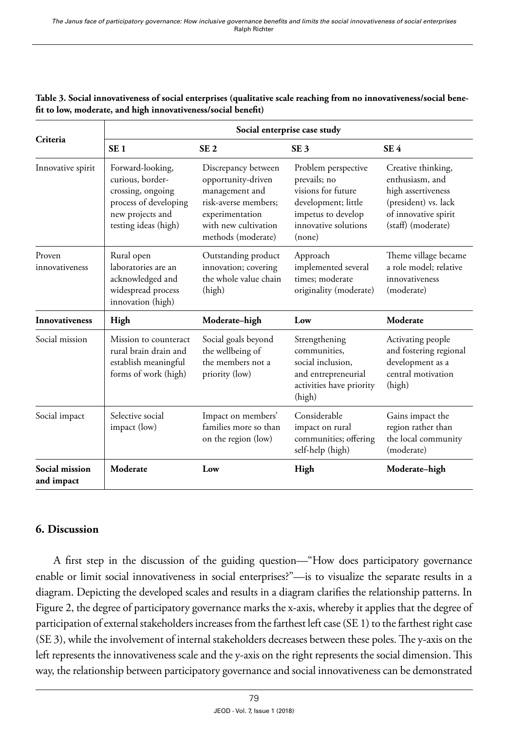|                              | Social enterprise case study                                                                                                   |                                                                                                                                                      |                                                                                                                                          |                                                                                                                                   |  |  |
|------------------------------|--------------------------------------------------------------------------------------------------------------------------------|------------------------------------------------------------------------------------------------------------------------------------------------------|------------------------------------------------------------------------------------------------------------------------------------------|-----------------------------------------------------------------------------------------------------------------------------------|--|--|
| Criteria                     | SE <sub>1</sub>                                                                                                                | SE <sub>2</sub>                                                                                                                                      | SE <sub>3</sub>                                                                                                                          | SE <sub>4</sub>                                                                                                                   |  |  |
| Innovative spirit            | Forward-looking,<br>curious, border-<br>crossing, ongoing<br>process of developing<br>new projects and<br>testing ideas (high) | Discrepancy between<br>opportunity-driven<br>management and<br>risk-averse members;<br>experimentation<br>with new cultivation<br>methods (moderate) | Problem perspective<br>prevails; no<br>visions for future<br>development; little<br>impetus to develop<br>innovative solutions<br>(none) | Creative thinking,<br>enthusiasm, and<br>high assertiveness<br>(president) vs. lack<br>of innovative spirit<br>(staff) (moderate) |  |  |
| Proven<br>innovativeness     | Rural open<br>laboratories are an<br>acknowledged and<br>widespread process<br>innovation (high)                               | Outstanding product<br>innovation; covering<br>the whole value chain<br>(high)                                                                       | Approach<br>implemented several<br>times: moderate<br>originality (moderate)                                                             | Theme village became<br>a role model; relative<br>innovativeness<br>(moderate)                                                    |  |  |
| <b>Innovativeness</b>        | High                                                                                                                           | Moderate-high                                                                                                                                        | Low                                                                                                                                      | Moderate                                                                                                                          |  |  |
| Social mission               | Mission to counteract<br>rural brain drain and<br>establish meaningful<br>forms of work (high)                                 | Social goals beyond<br>the wellbeing of<br>the members not a<br>priority (low)                                                                       | Strengthening<br>communities,<br>social inclusion.<br>and entrepreneurial<br>activities have priority<br>(high)                          | Activating people<br>and fostering regional<br>development as a<br>central motivation<br>(high)                                   |  |  |
| Social impact                | Selective social<br>impact (low)                                                                                               | Impact on members'<br>families more so than<br>on the region (low)                                                                                   | Considerable<br>impact on rural<br>communities; offering<br>self-help (high)                                                             | Gains impact the<br>region rather than<br>the local community<br>(moderate)                                                       |  |  |
| Social mission<br>and impact | Moderate                                                                                                                       | Low                                                                                                                                                  | High                                                                                                                                     | Moderate-high                                                                                                                     |  |  |

#### **Table 3. Social innovativeness of social enterprises (qualitative scale reaching from no innovativeness/social benefit to low, moderate, and high innovativeness/social benefit)**

#### **6. Discussion**

A first step in the discussion of the guiding question—"How does participatory governance enable or limit social innovativeness in social enterprises?"—is to visualize the separate results in a diagram. Depicting the developed scales and results in a diagram clarifies the relationship patterns. In Figure 2, the degree of participatory governance marks the x-axis, whereby it applies that the degree of participation of external stakeholders increases from the farthest left case (SE 1) to the farthest right case (SE 3), while the involvement of internal stakeholders decreases between these poles. The y-axis on the left represents the innovativeness scale and the y-axis on the right represents the social dimension. This way, the relationship between participatory governance and social innovativeness can be demonstrated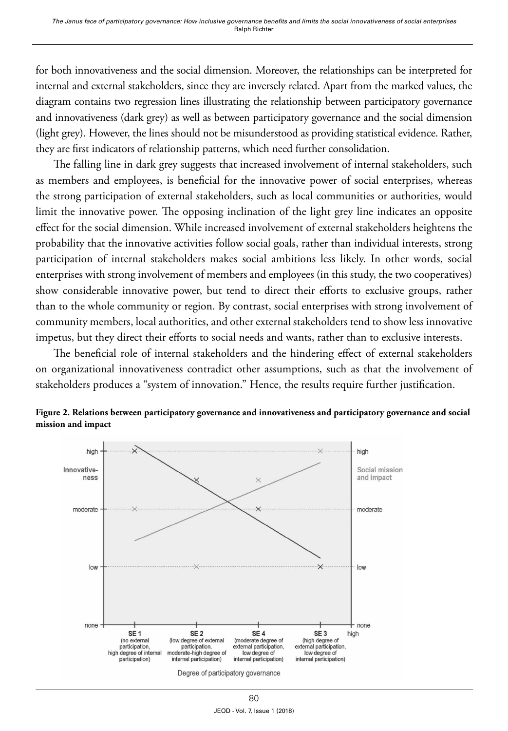for both innovativeness and the social dimension. Moreover, the relationships can be interpreted for internal and external stakeholders, since they are inversely related. Apart from the marked values, the diagram contains two regression lines illustrating the relationship between participatory governance and innovativeness (dark grey) as well as between participatory governance and the social dimension (light grey). However, the lines should not be misunderstood as providing statistical evidence. Rather, they are first indicators of relationship patterns, which need further consolidation.

The falling line in dark grey suggests that increased involvement of internal stakeholders, such as members and employees, is beneficial for the innovative power of social enterprises, whereas the strong participation of external stakeholders, such as local communities or authorities, would limit the innovative power. The opposing inclination of the light grey line indicates an opposite effect for the social dimension. While increased involvement of external stakeholders heightens the probability that the innovative activities follow social goals, rather than individual interests, strong participation of internal stakeholders makes social ambitions less likely. In other words, social enterprises with strong involvement of members and employees (in this study, the two cooperatives) show considerable innovative power, but tend to direct their efforts to exclusive groups, rather than to the whole community or region. By contrast, social enterprises with strong involvement of community members, local authorities, and other external stakeholders tend to show less innovative impetus, but they direct their efforts to social needs and wants, rather than to exclusive interests.

The beneficial role of internal stakeholders and the hindering effect of external stakeholders on organizational innovativeness contradict other assumptions, such as that the involvement of stakeholders produces a "system of innovation." Hence, the results require further justification.



**Figure 2. Relations between participatory governance and innovativeness and participatory governance and social mission and impact**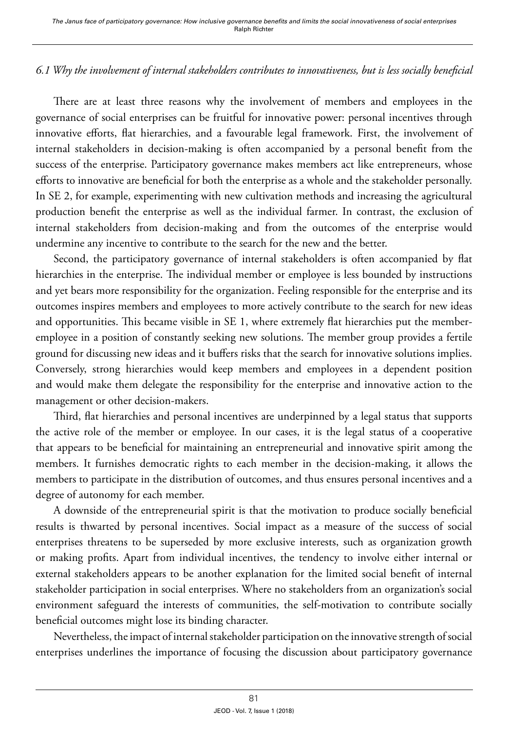# *6.1 Why the involvement of internal stakeholders contributes to innovativeness, but is less socially beneficial*

There are at least three reasons why the involvement of members and employees in the governance of social enterprises can be fruitful for innovative power: personal incentives through innovative efforts, flat hierarchies, and a favourable legal framework. First, the involvement of internal stakeholders in decision-making is often accompanied by a personal benefit from the success of the enterprise. Participatory governance makes members act like entrepreneurs, whose efforts to innovative are beneficial for both the enterprise as a whole and the stakeholder personally. In SE 2, for example, experimenting with new cultivation methods and increasing the agricultural production benefit the enterprise as well as the individual farmer. In contrast, the exclusion of internal stakeholders from decision-making and from the outcomes of the enterprise would undermine any incentive to contribute to the search for the new and the better.

Second, the participatory governance of internal stakeholders is often accompanied by flat hierarchies in the enterprise. The individual member or employee is less bounded by instructions and yet bears more responsibility for the organization. Feeling responsible for the enterprise and its outcomes inspires members and employees to more actively contribute to the search for new ideas and opportunities. This became visible in SE 1, where extremely flat hierarchies put the memberemployee in a position of constantly seeking new solutions. The member group provides a fertile ground for discussing new ideas and it buffers risks that the search for innovative solutions implies. Conversely, strong hierarchies would keep members and employees in a dependent position and would make them delegate the responsibility for the enterprise and innovative action to the management or other decision-makers.

Third, flat hierarchies and personal incentives are underpinned by a legal status that supports the active role of the member or employee. In our cases, it is the legal status of a cooperative that appears to be beneficial for maintaining an entrepreneurial and innovative spirit among the members. It furnishes democratic rights to each member in the decision-making, it allows the members to participate in the distribution of outcomes, and thus ensures personal incentives and a degree of autonomy for each member.

A downside of the entrepreneurial spirit is that the motivation to produce socially beneficial results is thwarted by personal incentives. Social impact as a measure of the success of social enterprises threatens to be superseded by more exclusive interests, such as organization growth or making profits. Apart from individual incentives, the tendency to involve either internal or external stakeholders appears to be another explanation for the limited social benefit of internal stakeholder participation in social enterprises. Where no stakeholders from an organization's social environment safeguard the interests of communities, the self-motivation to contribute socially beneficial outcomes might lose its binding character.

Nevertheless, the impact of internal stakeholder participation on the innovative strength of social enterprises underlines the importance of focusing the discussion about participatory governance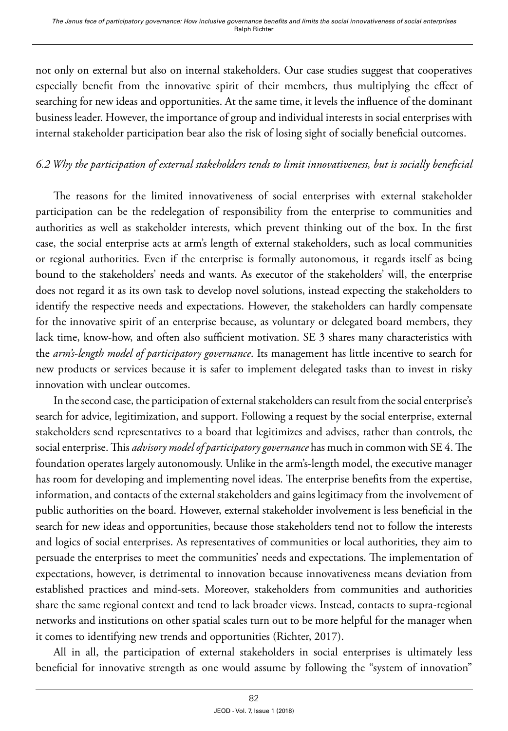not only on external but also on internal stakeholders. Our case studies suggest that cooperatives especially benefit from the innovative spirit of their members, thus multiplying the effect of searching for new ideas and opportunities. At the same time, it levels the influence of the dominant business leader. However, the importance of group and individual interests in social enterprises with internal stakeholder participation bear also the risk of losing sight of socially beneficial outcomes.

# *6.2 Why the participation of external stakeholders tends to limit innovativeness, but is socially beneficial*

The reasons for the limited innovativeness of social enterprises with external stakeholder participation can be the redelegation of responsibility from the enterprise to communities and authorities as well as stakeholder interests, which prevent thinking out of the box. In the first case, the social enterprise acts at arm's length of external stakeholders, such as local communities or regional authorities. Even if the enterprise is formally autonomous, it regards itself as being bound to the stakeholders' needs and wants. As executor of the stakeholders' will, the enterprise does not regard it as its own task to develop novel solutions, instead expecting the stakeholders to identify the respective needs and expectations. However, the stakeholders can hardly compensate for the innovative spirit of an enterprise because, as voluntary or delegated board members, they lack time, know-how, and often also sufficient motivation. SE 3 shares many characteristics with the *arm's-length model of participatory governance*. Its management has little incentive to search for new products or services because it is safer to implement delegated tasks than to invest in risky innovation with unclear outcomes.

In the second case, the participation of external stakeholders can result from the social enterprise's search for advice, legitimization, and support. Following a request by the social enterprise, external stakeholders send representatives to a board that legitimizes and advises, rather than controls, the social enterprise. This *advisory model of participatory governance* has much in common with SE 4. The foundation operates largely autonomously. Unlike in the arm's-length model, the executive manager has room for developing and implementing novel ideas. The enterprise benefits from the expertise, information, and contacts of the external stakeholders and gains legitimacy from the involvement of public authorities on the board. However, external stakeholder involvement is less beneficial in the search for new ideas and opportunities, because those stakeholders tend not to follow the interests and logics of social enterprises. As representatives of communities or local authorities, they aim to persuade the enterprises to meet the communities' needs and expectations. The implementation of expectations, however, is detrimental to innovation because innovativeness means deviation from established practices and mind-sets. Moreover, stakeholders from communities and authorities share the same regional context and tend to lack broader views. Instead, contacts to supra-regional networks and institutions on other spatial scales turn out to be more helpful for the manager when it comes to identifying new trends and opportunities (Richter, 2017).

All in all, the participation of external stakeholders in social enterprises is ultimately less beneficial for innovative strength as one would assume by following the "system of innovation"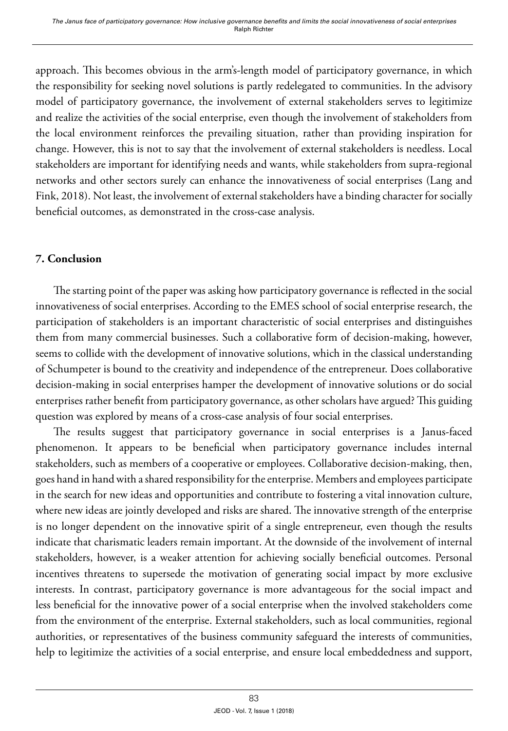approach. This becomes obvious in the arm's-length model of participatory governance, in which the responsibility for seeking novel solutions is partly redelegated to communities. In the advisory model of participatory governance, the involvement of external stakeholders serves to legitimize and realize the activities of the social enterprise, even though the involvement of stakeholders from the local environment reinforces the prevailing situation, rather than providing inspiration for change. However, this is not to say that the involvement of external stakeholders is needless. Local stakeholders are important for identifying needs and wants, while stakeholders from supra-regional networks and other sectors surely can enhance the innovativeness of social enterprises (Lang and Fink, 2018). Not least, the involvement of external stakeholders have a binding character for socially beneficial outcomes, as demonstrated in the cross-case analysis.

# **7. Conclusion**

The starting point of the paper was asking how participatory governance is reflected in the social innovativeness of social enterprises. According to the EMES school of social enterprise research, the participation of stakeholders is an important characteristic of social enterprises and distinguishes them from many commercial businesses. Such a collaborative form of decision-making, however, seems to collide with the development of innovative solutions, which in the classical understanding of Schumpeter is bound to the creativity and independence of the entrepreneur. Does collaborative decision-making in social enterprises hamper the development of innovative solutions or do social enterprises rather benefit from participatory governance, as other scholars have argued? This guiding question was explored by means of a cross-case analysis of four social enterprises.

The results suggest that participatory governance in social enterprises is a Janus-faced phenomenon. It appears to be beneficial when participatory governance includes internal stakeholders, such as members of a cooperative or employees. Collaborative decision-making, then, goes hand in hand with a shared responsibility for the enterprise. Members and employees participate in the search for new ideas and opportunities and contribute to fostering a vital innovation culture, where new ideas are jointly developed and risks are shared. The innovative strength of the enterprise is no longer dependent on the innovative spirit of a single entrepreneur, even though the results indicate that charismatic leaders remain important. At the downside of the involvement of internal stakeholders, however, is a weaker attention for achieving socially beneficial outcomes. Personal incentives threatens to supersede the motivation of generating social impact by more exclusive interests. In contrast, participatory governance is more advantageous for the social impact and less beneficial for the innovative power of a social enterprise when the involved stakeholders come from the environment of the enterprise. External stakeholders, such as local communities, regional authorities, or representatives of the business community safeguard the interests of communities, help to legitimize the activities of a social enterprise, and ensure local embeddedness and support,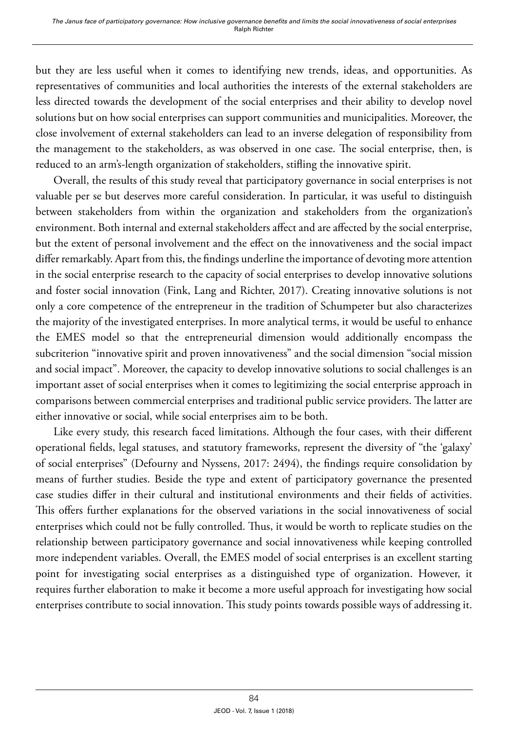but they are less useful when it comes to identifying new trends, ideas, and opportunities. As representatives of communities and local authorities the interests of the external stakeholders are less directed towards the development of the social enterprises and their ability to develop novel solutions but on how social enterprises can support communities and municipalities. Moreover, the close involvement of external stakeholders can lead to an inverse delegation of responsibility from the management to the stakeholders, as was observed in one case. The social enterprise, then, is reduced to an arm's-length organization of stakeholders, stifling the innovative spirit.

Overall, the results of this study reveal that participatory governance in social enterprises is not valuable per se but deserves more careful consideration. In particular, it was useful to distinguish between stakeholders from within the organization and stakeholders from the organization's environment. Both internal and external stakeholders affect and are affected by the social enterprise, but the extent of personal involvement and the effect on the innovativeness and the social impact differ remarkably. Apart from this, the findings underline the importance of devoting more attention in the social enterprise research to the capacity of social enterprises to develop innovative solutions and foster social innovation (Fink, Lang and Richter, 2017). Creating innovative solutions is not only a core competence of the entrepreneur in the tradition of Schumpeter but also characterizes the majority of the investigated enterprises. In more analytical terms, it would be useful to enhance the EMES model so that the entrepreneurial dimension would additionally encompass the subcriterion "innovative spirit and proven innovativeness" and the social dimension "social mission and social impact". Moreover, the capacity to develop innovative solutions to social challenges is an important asset of social enterprises when it comes to legitimizing the social enterprise approach in comparisons between commercial enterprises and traditional public service providers. The latter are either innovative or social, while social enterprises aim to be both.

Like every study, this research faced limitations. Although the four cases, with their different operational fields, legal statuses, and statutory frameworks, represent the diversity of "the 'galaxy' of social enterprises" (Defourny and Nyssens, 2017: 2494), the findings require consolidation by means of further studies. Beside the type and extent of participatory governance the presented case studies differ in their cultural and institutional environments and their fields of activities. This offers further explanations for the observed variations in the social innovativeness of social enterprises which could not be fully controlled. Thus, it would be worth to replicate studies on the relationship between participatory governance and social innovativeness while keeping controlled more independent variables. Overall, the EMES model of social enterprises is an excellent starting point for investigating social enterprises as a distinguished type of organization. However, it requires further elaboration to make it become a more useful approach for investigating how social enterprises contribute to social innovation. This study points towards possible ways of addressing it.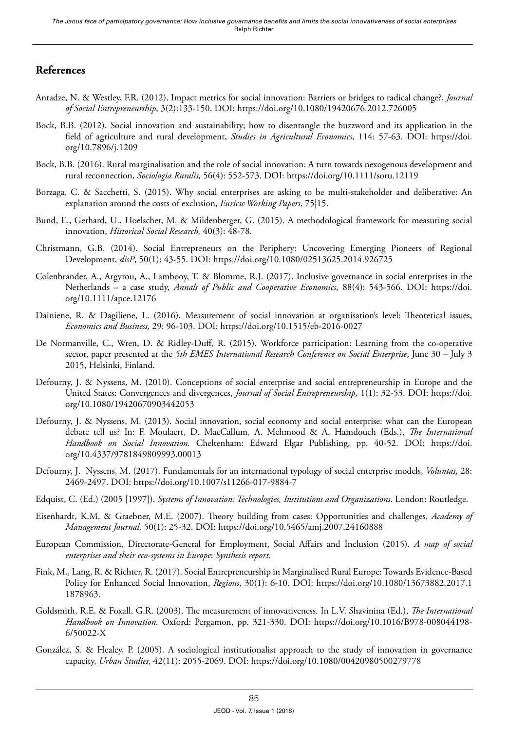#### **References**

- Antadze, N. & Westley, F.R. (2012). Impact metrics for social innovation: Barriers or bridges to radical change?, *Journal of Social Entrepreneurship*, 3(2):133-150. DOI:<https://doi.org/10.1080/19420676.2012.726005>
- Bock, B.B. (2012). Social innovation and sustainability; how to disentangle the buzzword and its application in the field of agriculture and rural development, *Studies in Agricultural Economics*, 114: 57-63. DOI: [https://doi.](https://doi.org/10.7896/j.1209) [org/10.7896/j.1209](https://doi.org/10.7896/j.1209)
- Bock, B.B. (2016). Rural marginalisation and the role of social innovation: A turn towards nexogenous development and rural reconnection, *Sociologia Ruralis,* 56(4): 552-573. DOI: <https://doi.org/10.1111/soru.12119>
- Borzaga, C. & Sacchetti, S. (2015). Why social enterprises are asking to be multi-stakeholder and deliberative: An explanation around the costs of exclusion, *Euricse Working Papers*, 75|15.
- Bund, E., Gerhard, U., Hoelscher, M. & Mildenberger, G. (2015). A methodological framework for measuring social innovation, *Historical Social Research,* 40(3): 48-78.
- Christmann, G.B. (2014). Social Entrepreneurs on the Periphery: Uncovering Emerging Pioneers of Regional Development, *disP*, 50(1): 43-55. DOI: https://doi.org/10.1080/02513625.2014.926725
- Colenbrander, A., Argyrou, A., Lambooy, T. & Blomme, R.J. (2017). Inclusive governance in social enterprises in the Netherlands – a case study, *Annals of Public and Cooperative Economics,* 88(4): 543-566. DOI: [https://doi.](https://doi.org/10.1111/apce.12176) [org/10.1111/apce.12176](https://doi.org/10.1111/apce.12176)
- Dainiene, R. & Dagiliene, L. (2016). Measurement of social innovation at organisation's level: Theoretical issues, *Economics and Business,* 29: 96-103. DOI:<https://doi.org/10.1515/eb-2016-0027>
- De Normanville, C., Wren, D. & Ridley-Duff, R. (2015). Workforce participation: Learning from the co-operative sector, paper presented at the *5th EMES International Research Conference on Social Enterprise*, June 30 – July 3 2015, Helsinki, Finland.
- Defourny, J. & Nyssens, M. (2010). Conceptions of social enterprise and social entrepreneurship in Europe and the United States: Convergences and divergences, *Journal of Social Entrepreneurship,* 1(1): 32-53. DOI: [https://doi.](https://doi.org/10.1080/19420670903442053) [org/10.1080/19420670903442053](https://doi.org/10.1080/19420670903442053)
- Defourny, J. & Nyssens, M. (2013). Social innovation, social economy and social enterprise: what can the European debate tell us? In: F. Moulaert, D. MacCallum, A. Mehmood & A. Hamdouch (Eds.), *The International Handbook on Social Innovation.* Cheltenham: Edward Elgar Publishing, pp. 40-52. DOI: [https://doi.](https://doi.org/10.4337/9781849809993.00013) [org/10.4337/9781849809993.00013](https://doi.org/10.4337/9781849809993.00013)
- Defourny, J. Nyssens, M. (2017). Fundamentals for an international typology of social enterprise models, *Voluntas,* 28: 2469-2497. DOI:<https://doi.org/10.1007/s11266-017-9884-7>
- Edquist, C. (Ed.) (2005 [1997]). *Systems of Innovation: Technologies, Institutions and Organizations*. London: Routledge.
- Eisenhardt, K.M. & Graebner, M.E. (2007). Theory building from cases: Opportunities and challenges, *Academy of Management Journal,* 50(1): 25-32. DOI:<https://doi.org/10.5465/amj.2007.24160888>
- European Commission, Directorate-General for Employment, Social Affairs and Inclusion (2015). *A map of social enterprises and their eco-systems in Europe*: *Synthesis report.*
- Fink, M., Lang, R. & Richter, R. (2017). Social Entrepreneurship in Marginalised Rural Europe: Towards Evidence-Based Policy for Enhanced Social Innovation, *Regions*, 30(1): 6-10. DOI: https://doi.org/10.1080/13673882.2017.1 1878963.
- Goldsmith, R.E. & Foxall, G.R. (2003). The measurement of innovativeness. In L.V. Shavinina (Ed.), *The International Handbook on Innovation.* Oxford: Pergamon, pp. 321-330. DOI: [https://doi.org/10.1016/B978-008044198-](https://doi.org/10.1016/B978-008044198-6/50022-X) [6/50022-X](https://doi.org/10.1016/B978-008044198-6/50022-X)
- González, S. & Healey, P. (2005). A sociological institutionalist approach to the study of innovation in governance capacity, *Urban Studies,* 42(11): 2055-2069. DOI: <https://doi.org/10.1080/00420980500279778>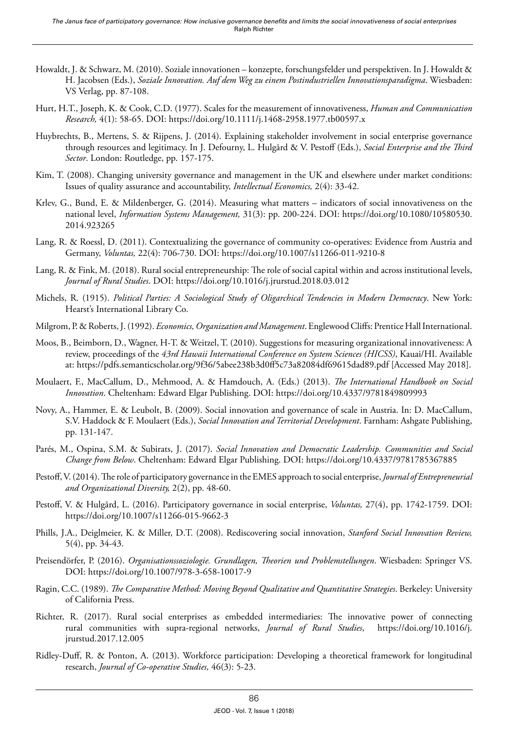- Howaldt, J. & Schwarz, M. (2010). Soziale innovationen konzepte, forschungsfelder und perspektiven. In J. Howaldt & H. Jacobsen (Eds.), *Soziale Innovation. Auf dem Weg zu einem Postindustriellen Innovationsparadigma*. Wiesbaden: VS Verlag, pp. 87-108.
- Hurt, H.T., Joseph, K. & Cook, C.D. (1977). Scales for the measurement of innovativeness, *Human and Communication Research,* 4(1): 58-65. DOI:<https://doi.org/10.1111/j.1468-2958.1977.tb00597.x>
- Huybrechts, B., Mertens, S. & Rijpens, J. (2014). Explaining stakeholder involvement in social enterprise governance through resources and legitimacy. In J. Defourny, L. Hulgård & V. Pestoff (Eds.), *Social Enterprise and the Third Sector*. London: Routledge, pp. 157-175.
- Kim, T. (2008). Changing university governance and management in the UK and elsewhere under market conditions: Issues of quality assurance and accountability, *Intellectual Economics,* 2(4): 33-42.
- Krlev, G., Bund, E. & Mildenberger, G. (2014). Measuring what matters indicators of social innovativeness on the national level, *Information Systems Management,* 31(3): pp. 200-224. DOI: [https://doi.org/10.1080/10580530.](https://doi.org/10.1080/10580530.2014.923265) [2014.923265](https://doi.org/10.1080/10580530.2014.923265)
- Lang, R. & Roessl, D. (2011). Contextualizing the governance of community co-operatives: Evidence from Austria and Germany, *Voluntas,* 22(4): 706-730. DOI: <https://doi.org/10.1007/s11266-011-9210-8>
- Lang, R. & Fink, M. (2018). Rural social entrepreneurship: The role of social capital within and across institutional levels, *Journal of Rural Studies*. DOI: https://doi.org/10.1016/j.jrurstud.2018.03.012
- Michels, R. (1915). *Political Parties: A Sociological Study of Oligarchical Tendencies in Modern Democracy*. New York: Hearst's International Library Co.
- Milgrom, P. & Roberts, J. (1992). *Economics, Organization and Management*. Englewood Cliffs: Prentice Hall International.
- Moos, B., Beimborn, D., Wagner, H-T. & Weitzel, T. (2010). Suggestions for measuring organizational innovativeness: A review, proceedings of the *43rd Hawaii International Conference on System Sciences (HICSS)*, Kauai/HI. Available at:<https://pdfs.semanticscholar.org/9f36/5abee238b3d0ff5c73a82084df69615dad89.pdf> [Accessed May 2018].
- Moulaert, F., MacCallum, D., Mehmood, A. & Hamdouch, A. (Eds.) (2013). *The International Handbook on Social Innovation*. Cheltenham: Edward Elgar Publishing. DOI:<https://doi.org/10.4337/9781849809993>
- Novy, A., Hammer, E. & Leubolt, B. (2009). Social innovation and governance of scale in Austria. In: D. MacCallum, S.V. Haddock & F. Moulaert (Eds.), *Social Innovation and Territorial Development*. Farnham: Ashgate Publishing, pp. 131-147.
- Parés, M., Ospina, S.M. & Subirats, J. (2017). *Social Innovation and Democratic Leadership. Communities and Social Change from Below*. Cheltenham: Edward Elgar Publishing. DOI:<https://doi.org/10.4337/9781785367885>
- Pestoff, V. (2014). The role of participatory governance in the EMES approach to social enterprise, *Journal of Entrepreneurial and Organizational Diversity,* 2(2), pp. 48-60.
- Pestoff, V. & Hulgård, L. (2016). Participatory governance in social enterprise, *Voluntas,* 27(4), pp. 1742-1759. DOI: <https://doi.org/10.1007/s11266-015-9662-3>
- Phills, J.A., Deiglmeier, K. & Miller, D.T. (2008). Rediscovering social innovation, *Stanford Social Innovation Review,* 5(4), pp. 34-43.
- Preisendörfer, P. (2016). *Organisationssoziologie. Grundlagen, Theorien und Problemstellungen*. Wiesbaden: Springer VS. DOI:<https://doi.org/10.1007/978-3-658-10017-9>
- Ragin, C.C. (1989). *The Comparative Method: Moving Beyond Qualitative and Quantitative Strategies*. Berkeley: University of California Press.
- Richter, R. (2017). Rural social enterprises as embedded intermediaries: The innovative power of connecting rural communities with supra-regional networks, *Journal of Rural Studies*, [https://doi.org/10.1016/j.](https://doi.org/10.1016/j.jrurstud.2017.12.005) [jrurstud.2017.12.005](https://doi.org/10.1016/j.jrurstud.2017.12.005)
- Ridley-Duff, R. & Ponton, A. (2013). Workforce participation: Developing a theoretical framework for longitudinal research, *Journal of Co-operative Studies,* 46(3): 5-23.